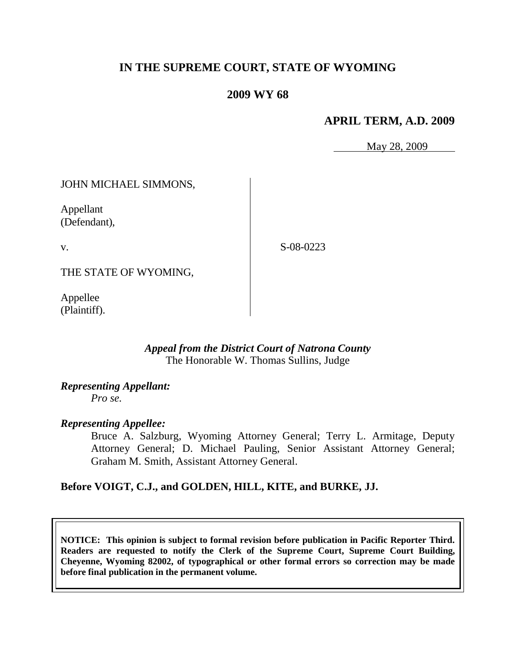# **IN THE SUPREME COURT, STATE OF WYOMING**

# **2009 WY 68**

#### **APRIL TERM, A.D. 2009**

May 28, 2009

## JOHN MICHAEL SIMMONS,

Appellant (Defendant),

v.

S-08-0223

THE STATE OF WYOMING,

Appellee (Plaintiff).

#### *Appeal from the District Court of Natrona County* The Honorable W. Thomas Sullins, Judge

*Representing Appellant: Pro se.*

#### *Representing Appellee:*

Bruce A. Salzburg, Wyoming Attorney General; Terry L. Armitage, Deputy Attorney General; D. Michael Pauling, Senior Assistant Attorney General; Graham M. Smith, Assistant Attorney General.

#### **Before VOIGT, C.J., and GOLDEN, HILL, KITE, and BURKE, JJ.**

**NOTICE: This opinion is subject to formal revision before publication in Pacific Reporter Third. Readers are requested to notify the Clerk of the Supreme Court, Supreme Court Building, Cheyenne, Wyoming 82002, of typographical or other formal errors so correction may be made before final publication in the permanent volume.**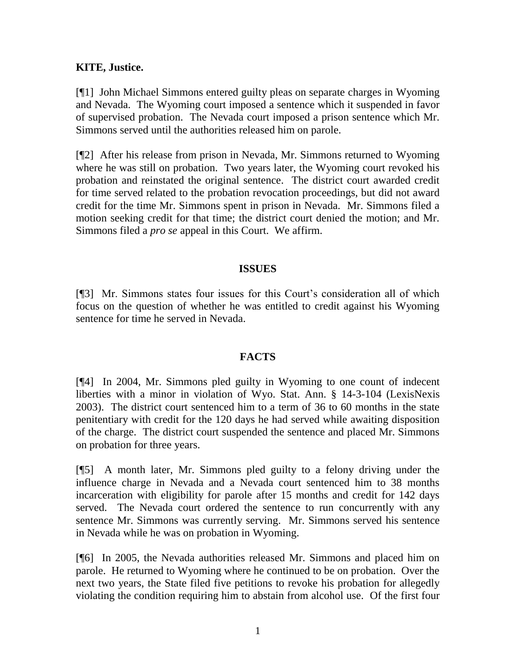## **KITE, Justice.**

[¶1] John Michael Simmons entered guilty pleas on separate charges in Wyoming and Nevada. The Wyoming court imposed a sentence which it suspended in favor of supervised probation. The Nevada court imposed a prison sentence which Mr. Simmons served until the authorities released him on parole.

[¶2] After his release from prison in Nevada, Mr. Simmons returned to Wyoming where he was still on probation. Two years later, the Wyoming court revoked his probation and reinstated the original sentence. The district court awarded credit for time served related to the probation revocation proceedings, but did not award credit for the time Mr. Simmons spent in prison in Nevada. Mr. Simmons filed a motion seeking credit for that time; the district court denied the motion; and Mr. Simmons filed a *pro se* appeal in this Court. We affirm.

#### **ISSUES**

[¶3] Mr. Simmons states four issues for this Court's consideration all of which focus on the question of whether he was entitled to credit against his Wyoming sentence for time he served in Nevada.

#### **FACTS**

[¶4] In 2004, Mr. Simmons pled guilty in Wyoming to one count of indecent liberties with a minor in violation of Wyo. Stat. Ann. § 14-3-104 (LexisNexis 2003). The district court sentenced him to a term of 36 to 60 months in the state penitentiary with credit for the 120 days he had served while awaiting disposition of the charge. The district court suspended the sentence and placed Mr. Simmons on probation for three years.

[¶5] A month later, Mr. Simmons pled guilty to a felony driving under the influence charge in Nevada and a Nevada court sentenced him to 38 months incarceration with eligibility for parole after 15 months and credit for 142 days served. The Nevada court ordered the sentence to run concurrently with any sentence Mr. Simmons was currently serving. Mr. Simmons served his sentence in Nevada while he was on probation in Wyoming.

[¶6] In 2005, the Nevada authorities released Mr. Simmons and placed him on parole. He returned to Wyoming where he continued to be on probation. Over the next two years, the State filed five petitions to revoke his probation for allegedly violating the condition requiring him to abstain from alcohol use. Of the first four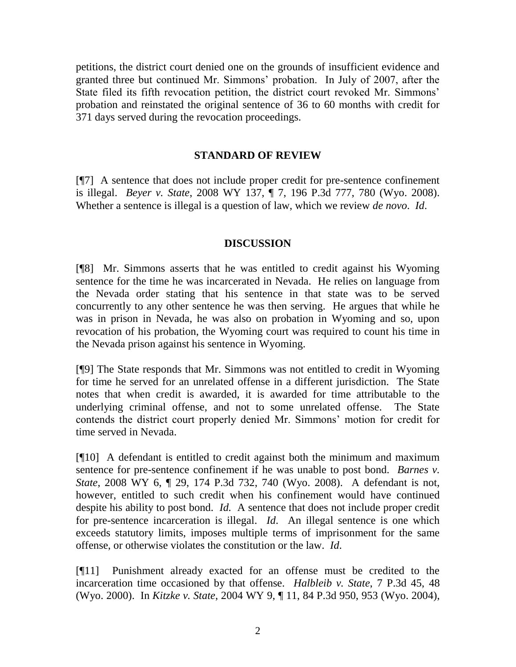petitions, the district court denied one on the grounds of insufficient evidence and granted three but continued Mr. Simmons' probation. In July of 2007, after the State filed its fifth revocation petition, the district court revoked Mr. Simmons' probation and reinstated the original sentence of 36 to 60 months with credit for 371 days served during the revocation proceedings.

#### **STANDARD OF REVIEW**

[¶7] A sentence that does not include proper credit for pre-sentence confinement is illegal. *Beyer v. State*, 2008 WY 137, ¶ 7, 196 P.3d 777, 780 (Wyo. 2008). Whether a sentence is illegal is a question of law, which we review *de novo*. *Id*.

#### **DISCUSSION**

[¶8] Mr. Simmons asserts that he was entitled to credit against his Wyoming sentence for the time he was incarcerated in Nevada. He relies on language from the Nevada order stating that his sentence in that state was to be served concurrently to any other sentence he was then serving. He argues that while he was in prison in Nevada, he was also on probation in Wyoming and so, upon revocation of his probation, the Wyoming court was required to count his time in the Nevada prison against his sentence in Wyoming.

[¶9] The State responds that Mr. Simmons was not entitled to credit in Wyoming for time he served for an unrelated offense in a different jurisdiction. The State notes that when credit is awarded, it is awarded for time attributable to the underlying criminal offense, and not to some unrelated offense. The State contends the district court properly denied Mr. Simmons' motion for credit for time served in Nevada.

[¶10] A defendant is entitled to credit against both the minimum and maximum sentence for pre-sentence confinement if he was unable to post bond. *Barnes v. State*, 2008 WY 6, ¶ 29, 174 P.3d 732, 740 (Wyo. 2008). A defendant is not, however, entitled to such credit when his confinement would have continued despite his ability to post bond. *Id.* A sentence that does not include proper credit for pre-sentence incarceration is illegal. *Id*. An illegal sentence is one which exceeds statutory limits, imposes multiple terms of imprisonment for the same offense, or otherwise violates the constitution or the law. *Id*.

[¶11] Punishment already exacted for an offense must be credited to the incarceration time occasioned by that offense. *Halbleib v. State*, 7 P.3d 45, 48 (Wyo. 2000). In *Kitzke v. State*, 2004 WY 9, ¶ 11, 84 P.3d 950, 953 (Wyo. 2004),